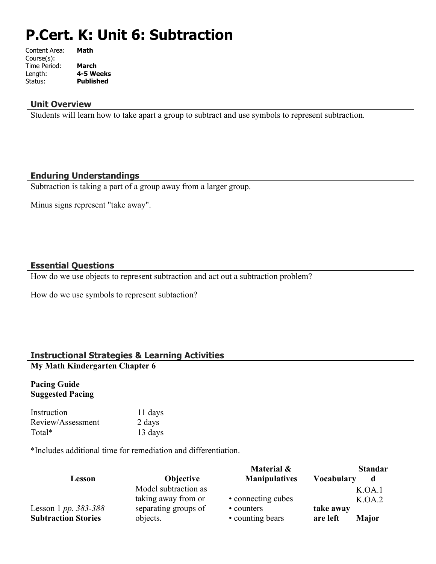# **P.Cert. K: Unit 6: Subtraction**

| Math         |
|--------------|
|              |
| <b>March</b> |
| 4-5 Weeks    |
| Published    |
|              |

#### **Unit Overview**

Students will learn how to take apart a group to subtract and use symbols to represent subtraction.

#### **Enduring Understandings**

Subtraction is taking a part of a group away from a larger group.

Minus signs represent "take away".

#### **Essential Questions**

How do we use objects to represent subtraction and act out a subtraction problem?

How do we use symbols to represent subtaction?

# **Instructional Strategies & Learning Activities**

# **My Math Kindergarten Chapter 6**

#### **Pacing Guide Suggested Pacing**

| Instruction       | 11 days |
|-------------------|---------|
| Review/Assessment | 2 days  |
| Total*            | 13 days |

\*Includes additional time for remediation and differentiation.

|                            |                      | Material &           | <b>Standar</b>           |  |
|----------------------------|----------------------|----------------------|--------------------------|--|
| Lesson                     | <b>Objective</b>     | <b>Manipulatives</b> | <b>Vocabulary</b><br>d   |  |
|                            | Model subtraction as |                      | K.OA.1                   |  |
|                            | taking away from or  | • connecting cubes   | K.OA.2                   |  |
| Lesson 1 pp. 383-388       | separating groups of | • counters           | take away                |  |
| <b>Subtraction Stories</b> | objects.             | • counting bears     | are left<br><b>Major</b> |  |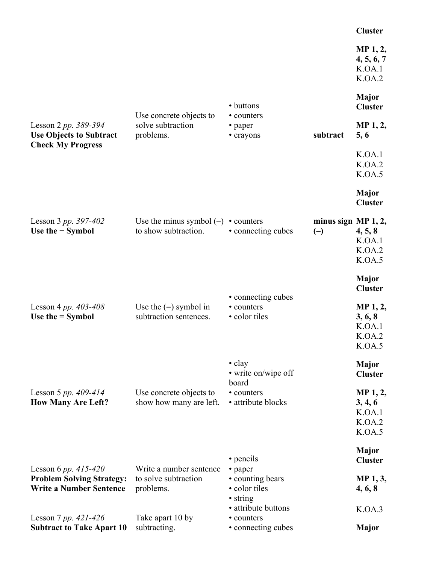|                                                                                                                          |                                                                                  |                                                                                                            |                                                | <b>Cluster</b>                                                                      |
|--------------------------------------------------------------------------------------------------------------------------|----------------------------------------------------------------------------------|------------------------------------------------------------------------------------------------------------|------------------------------------------------|-------------------------------------------------------------------------------------|
|                                                                                                                          |                                                                                  |                                                                                                            |                                                | MP 1, 2,<br>4, 5, 6, 7<br>K.OA.1<br>K.OA.2                                          |
|                                                                                                                          |                                                                                  | • buttons                                                                                                  |                                                | Major<br><b>Cluster</b>                                                             |
| Lesson 2 pp. 389-394<br><b>Use Objects to Subtract</b><br><b>Check My Progress</b>                                       | Use concrete objects to<br>solve subtraction<br>problems.                        | • counters<br>• paper<br>• crayons                                                                         | subtract                                       | MP <sub>1</sub> , 2,<br>5, 6                                                        |
|                                                                                                                          |                                                                                  |                                                                                                            |                                                | K.OA.1<br>K.OA.2<br>K.OA.5                                                          |
|                                                                                                                          |                                                                                  |                                                                                                            |                                                | <b>Major</b><br><b>Cluster</b>                                                      |
| Lesson 3 pp. 397-402<br>Use the $-$ Symbol                                                                               | Use the minus symbol $(-)$<br>to show subtraction.                               | • counters<br>• connecting cubes                                                                           | minus sign MP 1, 2,<br>$\left(\text{-}\right)$ | 4, 5, 8<br>K.OA.1<br>K.OA.2<br>K.OA.5                                               |
| Lesson 4 pp. $403 - 408$<br>Use the $=$ Symbol                                                                           | Use the $(=)$ symbol in<br>subtraction sentences.                                | • connecting cubes<br>• counters<br>• color tiles                                                          |                                                | Major<br><b>Cluster</b><br>MP 1, 2,<br>3, 6, 8<br>K.OA.1<br>K.OA.2<br>K.OA.5        |
| Lesson 5 pp. $409-414$<br><b>How Many Are Left?</b>                                                                      | Use concrete objects to<br>show how many are left.                               | $\cdot$ clay<br>• write on/wipe off<br>board<br>• counters<br>• attribute blocks                           |                                                | <b>Major</b><br><b>Cluster</b><br>MP 1, 2,<br>3, 4, 6<br>K.OA.1<br>K.OA.2<br>K.OA.5 |
| Lesson 6 pp. $415-420$<br><b>Problem Solving Strategy:</b><br><b>Write a Number Sentence</b><br>Lesson 7 pp. $421 - 426$ | Write a number sentence<br>to solve subtraction<br>problems.<br>Take apart 10 by | • pencils<br>• paper<br>• counting bears<br>• color tiles<br>• string<br>• attribute buttons<br>• counters |                                                | <b>Major</b><br><b>Cluster</b><br>MP 1, 3,<br>4, 6, 8<br>K.OA.3                     |
| <b>Subtract to Take Apart 10</b>                                                                                         | subtracting.                                                                     | • connecting cubes                                                                                         |                                                | <b>Major</b>                                                                        |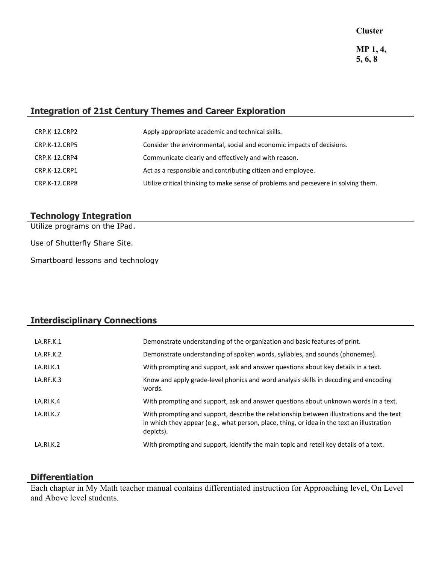# **Integration of 21st Century Themes and Career Exploration**

| CRP.K-12.CRP2        | Apply appropriate academic and technical skills.                                   |
|----------------------|------------------------------------------------------------------------------------|
| <b>CRP.K-12.CRP5</b> | Consider the environmental, social and economic impacts of decisions.              |
| CRP.K-12.CRP4        | Communicate clearly and effectively and with reason.                               |
| CRP.K-12.CRP1        | Act as a responsible and contributing citizen and employee.                        |
| CRP.K-12.CRP8        | Utilize critical thinking to make sense of problems and persevere in solving them. |

# **Technology Integration**

Utilize programs on the IPad.

Use of Shutterfly Share Site.

Smartboard lessons and technology

# **Interdisciplinary Connections**

| LA.RF.K.1 | Demonstrate understanding of the organization and basic features of print.                                                                                                                          |
|-----------|-----------------------------------------------------------------------------------------------------------------------------------------------------------------------------------------------------|
| LA.RF.K.2 | Demonstrate understanding of spoken words, syllables, and sounds (phonemes).                                                                                                                        |
| LA.RI.K.1 | With prompting and support, ask and answer questions about key details in a text.                                                                                                                   |
| LA.RF.K.3 | Know and apply grade-level phonics and word analysis skills in decoding and encoding<br>words.                                                                                                      |
| LA.RI.K.4 | With prompting and support, ask and answer questions about unknown words in a text.                                                                                                                 |
| LA.RI.K.7 | With prompting and support, describe the relationship between illustrations and the text<br>in which they appear (e.g., what person, place, thing, or idea in the text an illustration<br>depicts). |
| LA.RI.K.2 | With prompting and support, identify the main topic and retell key details of a text.                                                                                                               |

# **Differentiation**

Each chapter in My Math teacher manual contains differentiated instruction for Approaching level, On Level and Above level students.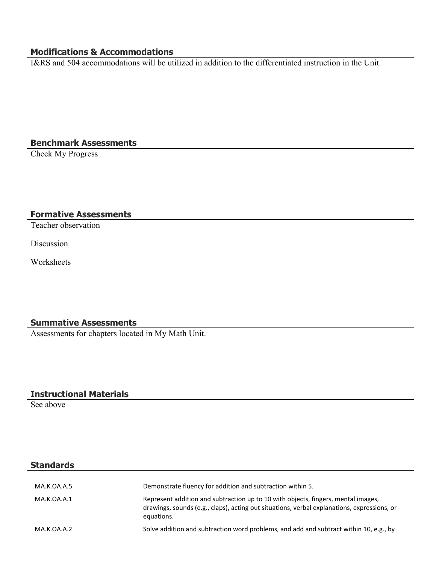# **Modifications & Accommodations**

I&RS and 504 accommodations will be utilized in addition to the differentiated instruction in the Unit.

# **Benchmark Assessments**

Check My Progress

# **Formative Assessments**

Teacher observation

Discussion

Worksheets

#### **Summative Assessments**

Assessments for chapters located in My Math Unit.

# **Instructional Materials**

See above

#### **Standards**

| MA.K.OA.A.5 | Demonstrate fluency for addition and subtraction within 5.                                                                                                                                     |
|-------------|------------------------------------------------------------------------------------------------------------------------------------------------------------------------------------------------|
| MA.K.OA.A.1 | Represent addition and subtraction up to 10 with objects, fingers, mental images,<br>drawings, sounds (e.g., claps), acting out situations, verbal explanations, expressions, or<br>equations. |
| MA.K.OA.A.2 | Solve addition and subtraction word problems, and add and subtract within 10, e.g., by                                                                                                         |